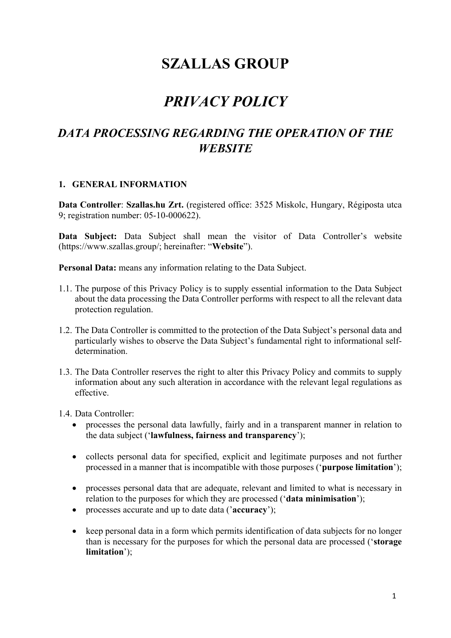# **SZALLAS GROUP**

## *PRIVACY POLICY*

## *DATA PROCESSING REGARDING THE OPERATION OF THE WEBSITE*

#### **1. GENERAL INFORMATION**

**Data Controller**: **Szallas.hu Zrt.** (registered office: 3525 Miskolc, Hungary, Régiposta utca 9; registration number: 05-10-000622).

**Data Subject:** Data Subject shall mean the visitor of Data Controller's website (https://www.szallas.group/; hereinafter: "**Website**").

**Personal Data:** means any information relating to the Data Subject.

- 1.1. The purpose of this Privacy Policy is to supply essential information to the Data Subject about the data processing the Data Controller performs with respect to all the relevant data protection regulation.
- 1.2. The Data Controller is committed to the protection of the Data Subject's personal data and particularly wishes to observe the Data Subject's fundamental right to informational selfdetermination.
- 1.3. The Data Controller reserves the right to alter this Privacy Policy and commits to supply information about any such alteration in accordance with the relevant legal regulations as effective.
- 1.4. Data Controller:
	- processes the personal data lawfully, fairly and in a transparent manner in relation to the data subject ('**lawfulness, fairness and transparency**');
	- collects personal data for specified, explicit and legitimate purposes and not further processed in a manner that is incompatible with those purposes ('**purpose limitation**');
	- processes personal data that are adequate, relevant and limited to what is necessary in relation to the purposes for which they are processed ('**data minimisation**');
	- processes accurate and up to date data ('**accuracy**');
	- keep personal data in a form which permits identification of data subjects for no longer than is necessary for the purposes for which the personal data are processed ('**storage limitation**');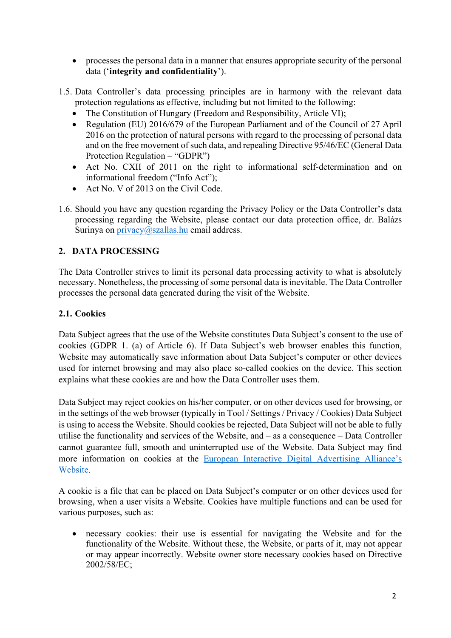- processes the personal data in a manner that ensures appropriate security of the personal data ('**integrity and confidentiality**').
- 1.5. Data Controller's data processing principles are in harmony with the relevant data protection regulations as effective, including but not limited to the following:
	- The Constitution of Hungary (Freedom and Responsibility, Article VI);
	- Regulation (EU) 2016/679 of the European Parliament and of the Council of 27 April 2016 on the protection of natural persons with regard to the processing of personal data and on the free movement of such data, and repealing Directive 95/46/EC (General Data Protection Regulation – "GDPR")
	- Act No. CXII of 2011 on the right to informational self-determination and on informational freedom ("Info Act");
	- Act No. V of 2013 on the Civil Code.
- 1.6. Should you have any question regarding the Privacy Policy or the Data Controller's data processing regarding the Website, please contact our data protection office, dr. Balázs Surinya on [privacy@szallas.hu](mailto:privacy@szallas.hu) email address.

## **2. DATA PROCESSING**

The Data Controller strives to limit its personal data processing activity to what is absolutely necessary. Nonetheless, the processing of some personal data is inevitable. The Data Controller processes the personal data generated during the visit of the Website.

### **2.1. Cookies**

Data Subject agrees that the use of the Website constitutes Data Subject's consent to the use of cookies (GDPR 1. (a) of Article 6). If Data Subject's web browser enables this function, Website may automatically save information about Data Subject's computer or other devices used for internet browsing and may also place so-called cookies on the device. This section explains what these cookies are and how the Data Controller uses them.

Data Subject may reject cookies on his/her computer, or on other devices used for browsing, or in the settings of the web browser (typically in Tool / Settings / Privacy / Cookies) Data Subject is using to access the Website. Should cookies be rejected, Data Subject will not be able to fully utilise the functionality and services of the Website, and – as a consequence – Data Controller cannot guarantee full, smooth and uninterrupted use of the Website. Data Subject may find more information on cookies at the European Interactive Digital [Advertising Alliance's](http://www.youronlinechoices.com/) [Website.](http://www.youronlinechoices.com/)

A cookie is a file that can be placed on Data Subject's computer or on other devices used for browsing, when a user visits a Website. Cookies have multiple functions and can be used for various purposes, such as:

• necessary cookies: their use is essential for navigating the Website and for the functionality of the Website. Without these, the Website, or parts of it, may not appear or may appear incorrectly. Website owner store necessary cookies based on Directive 2002/58/EC;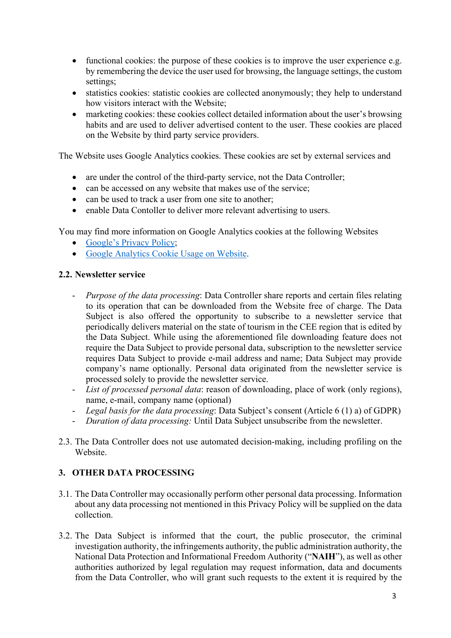- functional cookies: the purpose of these cookies is to improve the user experience e.g. by remembering the device the user used for browsing, the language settings, the custom settings;
- statistics cookies: statistic cookies are collected anonymously; they help to understand how visitors interact with the Website;
- marketing cookies: these cookies collect detailed information about the user's browsing habits and are used to deliver advertised content to the user. These cookies are placed on the Website by third party service providers.

The Website uses Google Analytics cookies. These cookies are set by external services and

- are under the control of the third-party service, not the Data Controller;
- can be accessed on any website that makes use of the service;
- can be used to track a user from one site to another;
- enable Data Contoller to deliver more relevant advertising to users.

You may find more information on Google Analytics cookies at the following Websites

- [Google's Privacy Policy;](https://www.google.com/intl/hu/policies/privacy/)
- [Google Analytics Cookie Usage on Website.](https://developers.google.com/analytics/devguides/collection/analyticsjs/cookie-usage)

#### **2.2. Newsletter service**

- *Purpose of the data processing*: Data Controller share reports and certain files relating to its operation that can be downloaded from the Website free of charge. The Data Subject is also offered the opportunity to subscribe to a newsletter service that periodically delivers material on the state of tourism in the CEE region that is edited by the Data Subject. While using the aforementioned file downloading feature does not require the Data Subject to provide personal data, subscription to the newsletter service requires Data Subject to provide e-mail address and name; Data Subject may provide company's name optionally. Personal data originated from the newsletter service is processed solely to provide the newsletter service.
- List of processed personal data: reason of downloading, place of work (only regions), name, e-mail, company name (optional)
- *Legal basis for the data processing*: Data Subject's consent (Article 6 (1) a) of GDPR)
- *Duration of data processing:* Until Data Subject unsubscribe from the newsletter.
- 2.3. The Data Controller does not use automated decision-making, including profiling on the Website.

#### **3. OTHER DATA PROCESSING**

- 3.1. The Data Controller may occasionally perform other personal data processing. Information about any data processing not mentioned in this Privacy Policy will be supplied on the data collection.
- 3.2. The Data Subject is informed that the court, the public prosecutor, the criminal investigation authority, the infringements authority, the public administration authority, the National Data Protection and Informational Freedom Authority ("**NAIH**"), as well as other authorities authorized by legal regulation may request information, data and documents from the Data Controller, who will grant such requests to the extent it is required by the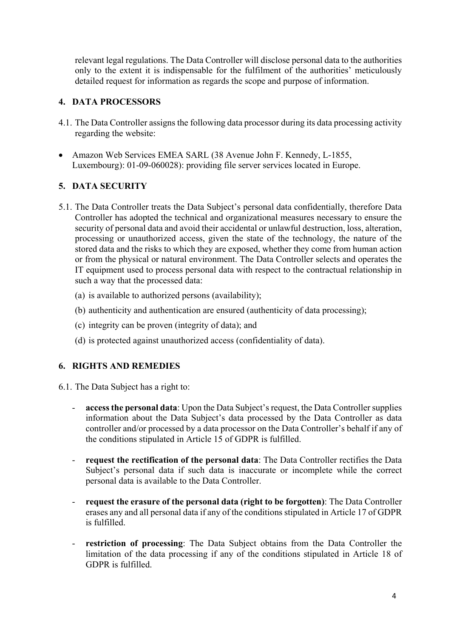relevant legal regulations. The Data Controller will disclose personal data to the authorities only to the extent it is indispensable for the fulfilment of the authorities' meticulously detailed request for information as regards the scope and purpose of information.

## **4. DATA PROCESSORS**

- 4.1. The Data Controller assigns the following data processor during its data processing activity regarding the website:
- Amazon Web Services EMEA SARL (38 Avenue John F. Kennedy, L-1855, Luxembourg): 01-09-060028): providing file server services located in Europe.

## **5. DATA SECURITY**

- 5.1. The Data Controller treats the Data Subject's personal data confidentially, therefore Data Controller has adopted the technical and organizational measures necessary to ensure the security of personal data and avoid their accidental or unlawful destruction, loss, alteration, processing or unauthorized access, given the state of the technology, the nature of the stored data and the risks to which they are exposed, whether they come from human action or from the physical or natural environment. The Data Controller selects and operates the IT equipment used to process personal data with respect to the contractual relationship in such a way that the processed data:
	- (a) is available to authorized persons (availability);
	- (b) authenticity and authentication are ensured (authenticity of data processing);
	- (c) integrity can be proven (integrity of data); and
	- (d) is protected against unauthorized access (confidentiality of data).

## **6. RIGHTS AND REMEDIES**

- 6.1. The Data Subject has a right to:
	- **access the personal data**: Upon the Data Subject's request, the Data Controller supplies information about the Data Subject's data processed by the Data Controller as data controller and/or processed by a data processor on the Data Controller's behalf if any of the conditions stipulated in Article 15 of GDPR is fulfilled.
	- **request the rectification of the personal data**: The Data Controller rectifies the Data Subject's personal data if such data is inaccurate or incomplete while the correct personal data is available to the Data Controller.
	- **request the erasure of the personal data (right to be forgotten)**: The Data Controller erases any and all personal data if any of the conditions stipulated in Article 17 of GDPR is fulfilled.
	- restriction of processing: The Data Subject obtains from the Data Controller the limitation of the data processing if any of the conditions stipulated in Article 18 of GDPR is fulfilled.